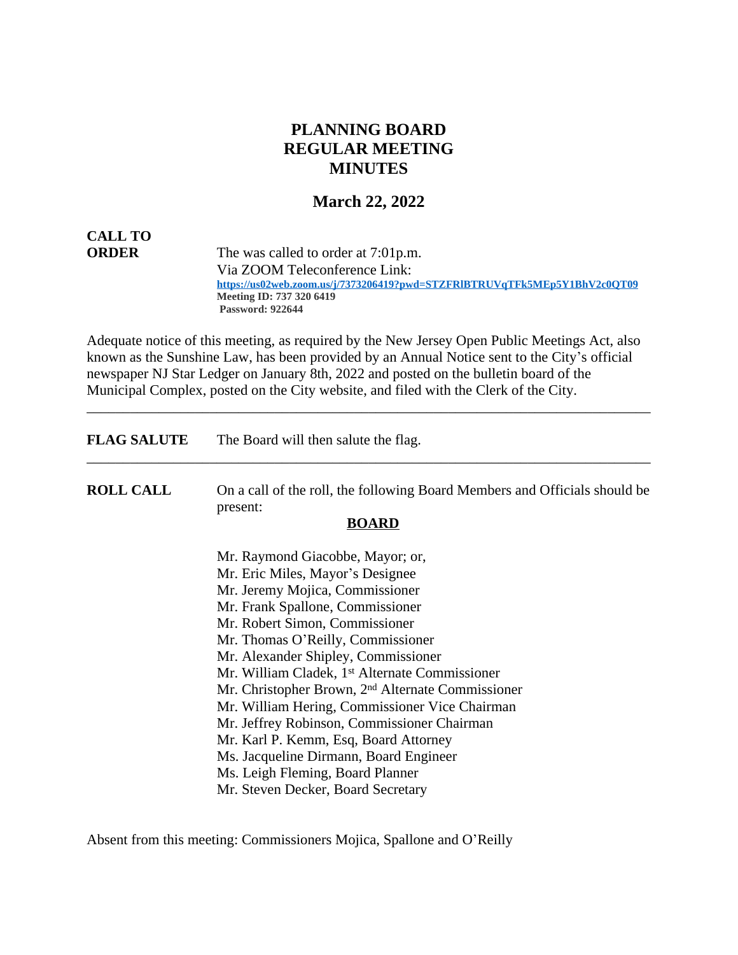## **PLANNING BOARD REGULAR MEETING MINUTES**

### **March 22, 2022**

# **CALL TO**

**ORDER** The was called to order at 7:01p.m. Via ZOOM Teleconference Link:  **<https://us02web.zoom.us/j/7373206419?pwd=STZFRlBTRUVqTFk5MEp5Y1BhV2c0QT09> Meeting ID: 737 320 6419 Password: 922644**

Adequate notice of this meeting, as required by the New Jersey Open Public Meetings Act, also known as the Sunshine Law, has been provided by an Annual Notice sent to the City's official newspaper NJ Star Ledger on January 8th, 2022 and posted on the bulletin board of the Municipal Complex, posted on the City website, and filed with the Clerk of the City.

\_\_\_\_\_\_\_\_\_\_\_\_\_\_\_\_\_\_\_\_\_\_\_\_\_\_\_\_\_\_\_\_\_\_\_\_\_\_\_\_\_\_\_\_\_\_\_\_\_\_\_\_\_\_\_\_\_\_\_\_\_\_\_\_\_\_\_\_\_\_\_\_\_\_\_\_\_\_

| <b>FLAG SALUTE</b> | The Board will then salute the flag.                                                   |
|--------------------|----------------------------------------------------------------------------------------|
| <b>ROLL CALL</b>   | On a call of the roll, the following Board Members and Officials should be<br>present: |
|                    | <b>BOARD</b>                                                                           |
|                    | Mr. Raymond Giacobbe, Mayor; or,                                                       |
|                    | Mr. Eric Miles, Mayor's Designee                                                       |
|                    | Mr. Jeremy Mojica, Commissioner                                                        |
|                    | Mr. Frank Spallone, Commissioner                                                       |
|                    | Mr. Robert Simon, Commissioner                                                         |
|                    | Mr. Thomas O'Reilly, Commissioner                                                      |
|                    | Mr. Alexander Shipley, Commissioner                                                    |
|                    | Mr. William Cladek, 1 <sup>st</sup> Alternate Commissioner                             |
|                    | Mr. Christopher Brown, 2 <sup>nd</sup> Alternate Commissioner                          |
|                    | Mr. William Hering, Commissioner Vice Chairman                                         |
|                    | Mr. Jeffrey Robinson, Commissioner Chairman                                            |
|                    | Mr. Karl P. Kemm, Esq, Board Attorney                                                  |
|                    | Ms. Jacqueline Dirmann, Board Engineer                                                 |
|                    | Ms. Leigh Fleming, Board Planner                                                       |
|                    | Mr. Steven Decker, Board Secretary                                                     |

Absent from this meeting: Commissioners Mojica, Spallone and O'Reilly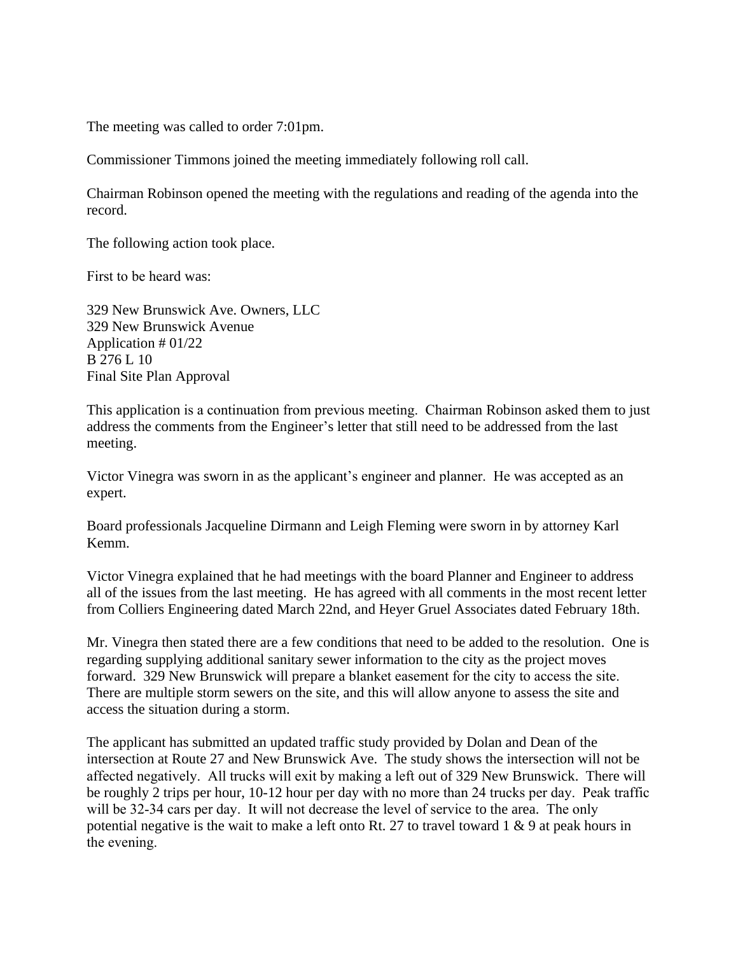The meeting was called to order 7:01pm.

Commissioner Timmons joined the meeting immediately following roll call.

Chairman Robinson opened the meeting with the regulations and reading of the agenda into the record.

The following action took place.

First to be heard was:

329 New Brunswick Ave. Owners, LLC 329 New Brunswick Avenue Application # 01/22 B 276 L 10 Final Site Plan Approval

This application is a continuation from previous meeting. Chairman Robinson asked them to just address the comments from the Engineer's letter that still need to be addressed from the last meeting.

Victor Vinegra was sworn in as the applicant's engineer and planner. He was accepted as an expert.

Board professionals Jacqueline Dirmann and Leigh Fleming were sworn in by attorney Karl Kemm.

Victor Vinegra explained that he had meetings with the board Planner and Engineer to address all of the issues from the last meeting. He has agreed with all comments in the most recent letter from Colliers Engineering dated March 22nd, and Heyer Gruel Associates dated February 18th.

Mr. Vinegra then stated there are a few conditions that need to be added to the resolution. One is regarding supplying additional sanitary sewer information to the city as the project moves forward. 329 New Brunswick will prepare a blanket easement for the city to access the site. There are multiple storm sewers on the site, and this will allow anyone to assess the site and access the situation during a storm.

The applicant has submitted an updated traffic study provided by Dolan and Dean of the intersection at Route 27 and New Brunswick Ave. The study shows the intersection will not be affected negatively. All trucks will exit by making a left out of 329 New Brunswick. There will be roughly 2 trips per hour, 10-12 hour per day with no more than 24 trucks per day. Peak traffic will be 32-34 cars per day. It will not decrease the level of service to the area. The only potential negative is the wait to make a left onto Rt. 27 to travel toward 1 & 9 at peak hours in the evening.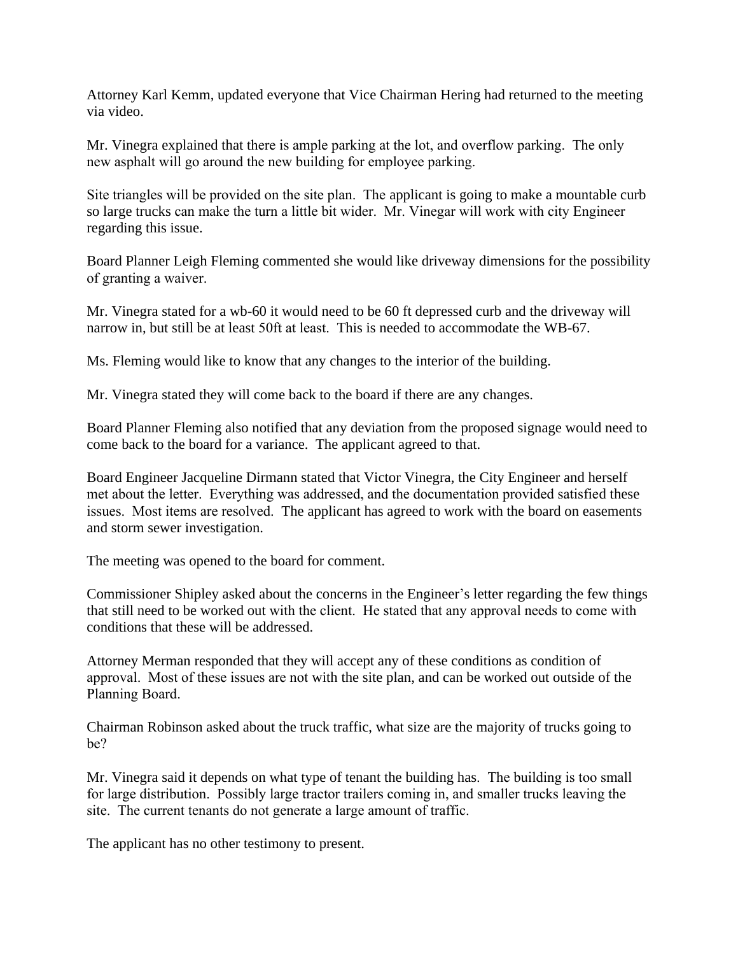Attorney Karl Kemm, updated everyone that Vice Chairman Hering had returned to the meeting via video.

Mr. Vinegra explained that there is ample parking at the lot, and overflow parking. The only new asphalt will go around the new building for employee parking.

Site triangles will be provided on the site plan. The applicant is going to make a mountable curb so large trucks can make the turn a little bit wider. Mr. Vinegar will work with city Engineer regarding this issue.

Board Planner Leigh Fleming commented she would like driveway dimensions for the possibility of granting a waiver.

Mr. Vinegra stated for a wb-60 it would need to be 60 ft depressed curb and the driveway will narrow in, but still be at least 50ft at least. This is needed to accommodate the WB-67.

Ms. Fleming would like to know that any changes to the interior of the building.

Mr. Vinegra stated they will come back to the board if there are any changes.

Board Planner Fleming also notified that any deviation from the proposed signage would need to come back to the board for a variance. The applicant agreed to that.

Board Engineer Jacqueline Dirmann stated that Victor Vinegra, the City Engineer and herself met about the letter. Everything was addressed, and the documentation provided satisfied these issues. Most items are resolved. The applicant has agreed to work with the board on easements and storm sewer investigation.

The meeting was opened to the board for comment.

Commissioner Shipley asked about the concerns in the Engineer's letter regarding the few things that still need to be worked out with the client. He stated that any approval needs to come with conditions that these will be addressed.

Attorney Merman responded that they will accept any of these conditions as condition of approval. Most of these issues are not with the site plan, and can be worked out outside of the Planning Board.

Chairman Robinson asked about the truck traffic, what size are the majority of trucks going to be?

Mr. Vinegra said it depends on what type of tenant the building has. The building is too small for large distribution. Possibly large tractor trailers coming in, and smaller trucks leaving the site. The current tenants do not generate a large amount of traffic.

The applicant has no other testimony to present.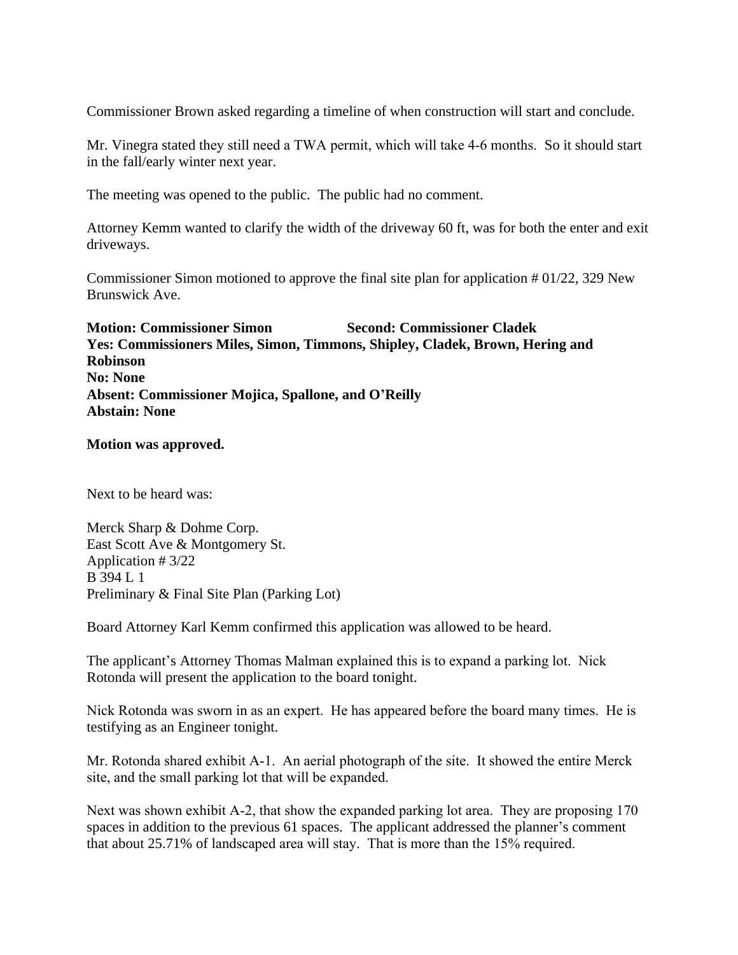Commissioner Brown asked regarding a timeline of when construction will start and conclude.

Mr. Vinegra stated they still need a TWA permit, which will take 4-6 months. So it should start in the fall/early winter next year.

The meeting was opened to the public. The public had no comment.

Attorney Kemm wanted to clarify the width of the driveway 60 ft, was for both the enter and exit driveways.

Commissioner Simon motioned to approve the final site plan for application # 01/22, 329 New Brunswick Ave.

**Motion: Commissioner Simon Second: Commissioner Cladek Yes: Commissioners Miles, Simon, Timmons, Shipley, Cladek, Brown, Hering and Robinson No: None Absent: Commissioner Mojica, Spallone, and O'Reilly Abstain: None**

#### **Motion was approved.**

Next to be heard was:

Merck Sharp & Dohme Corp. East Scott Ave & Montgomery St. Application # 3/22 B 394 L 1 Preliminary & Final Site Plan (Parking Lot)

Board Attorney Karl Kemm confirmed this application was allowed to be heard.

The applicant's Attorney Thomas Malman explained this is to expand a parking lot. Nick Rotonda will present the application to the board tonight.

Nick Rotonda was sworn in as an expert. He has appeared before the board many times. He is testifying as an Engineer tonight.

Mr. Rotonda shared exhibit A-1. An aerial photograph of the site. It showed the entire Merck site, and the small parking lot that will be expanded.

Next was shown exhibit A-2, that show the expanded parking lot area. They are proposing 170 spaces in addition to the previous 61 spaces. The applicant addressed the planner's comment that about 25.71% of landscaped area will stay. That is more than the 15% required.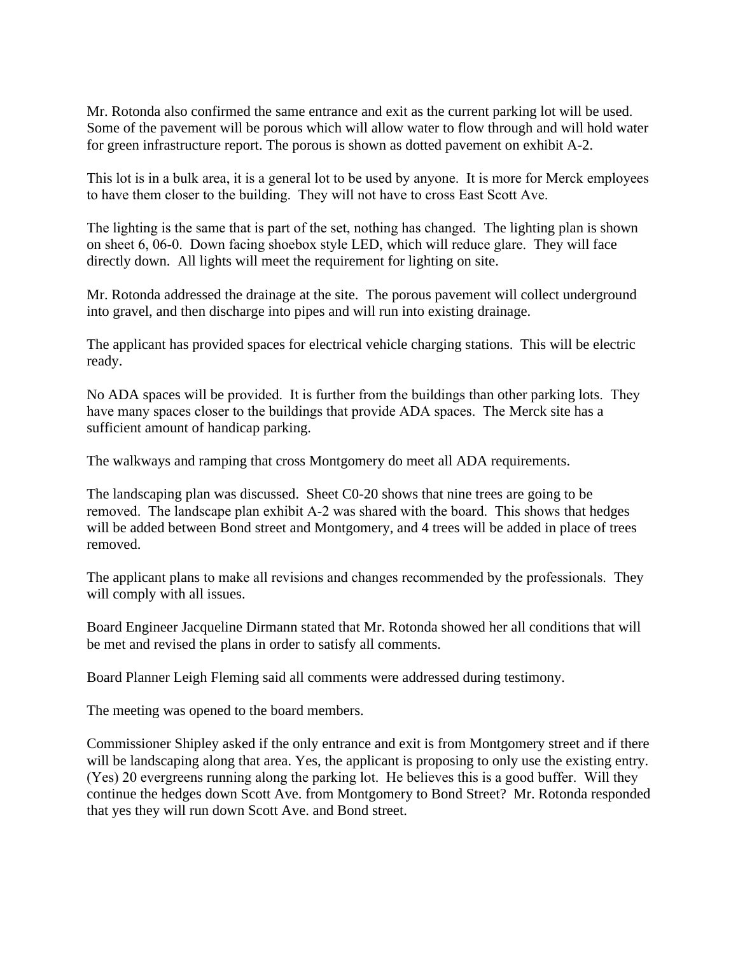Mr. Rotonda also confirmed the same entrance and exit as the current parking lot will be used. Some of the pavement will be porous which will allow water to flow through and will hold water for green infrastructure report. The porous is shown as dotted pavement on exhibit A-2.

This lot is in a bulk area, it is a general lot to be used by anyone. It is more for Merck employees to have them closer to the building. They will not have to cross East Scott Ave.

The lighting is the same that is part of the set, nothing has changed. The lighting plan is shown on sheet 6, 06-0. Down facing shoebox style LED, which will reduce glare. They will face directly down. All lights will meet the requirement for lighting on site.

Mr. Rotonda addressed the drainage at the site. The porous pavement will collect underground into gravel, and then discharge into pipes and will run into existing drainage.

The applicant has provided spaces for electrical vehicle charging stations. This will be electric ready.

No ADA spaces will be provided. It is further from the buildings than other parking lots. They have many spaces closer to the buildings that provide ADA spaces. The Merck site has a sufficient amount of handicap parking.

The walkways and ramping that cross Montgomery do meet all ADA requirements.

The landscaping plan was discussed. Sheet C0-20 shows that nine trees are going to be removed. The landscape plan exhibit A-2 was shared with the board. This shows that hedges will be added between Bond street and Montgomery, and 4 trees will be added in place of trees removed.

The applicant plans to make all revisions and changes recommended by the professionals. They will comply with all issues.

Board Engineer Jacqueline Dirmann stated that Mr. Rotonda showed her all conditions that will be met and revised the plans in order to satisfy all comments.

Board Planner Leigh Fleming said all comments were addressed during testimony.

The meeting was opened to the board members.

Commissioner Shipley asked if the only entrance and exit is from Montgomery street and if there will be landscaping along that area. Yes, the applicant is proposing to only use the existing entry. (Yes) 20 evergreens running along the parking lot. He believes this is a good buffer. Will they continue the hedges down Scott Ave. from Montgomery to Bond Street? Mr. Rotonda responded that yes they will run down Scott Ave. and Bond street.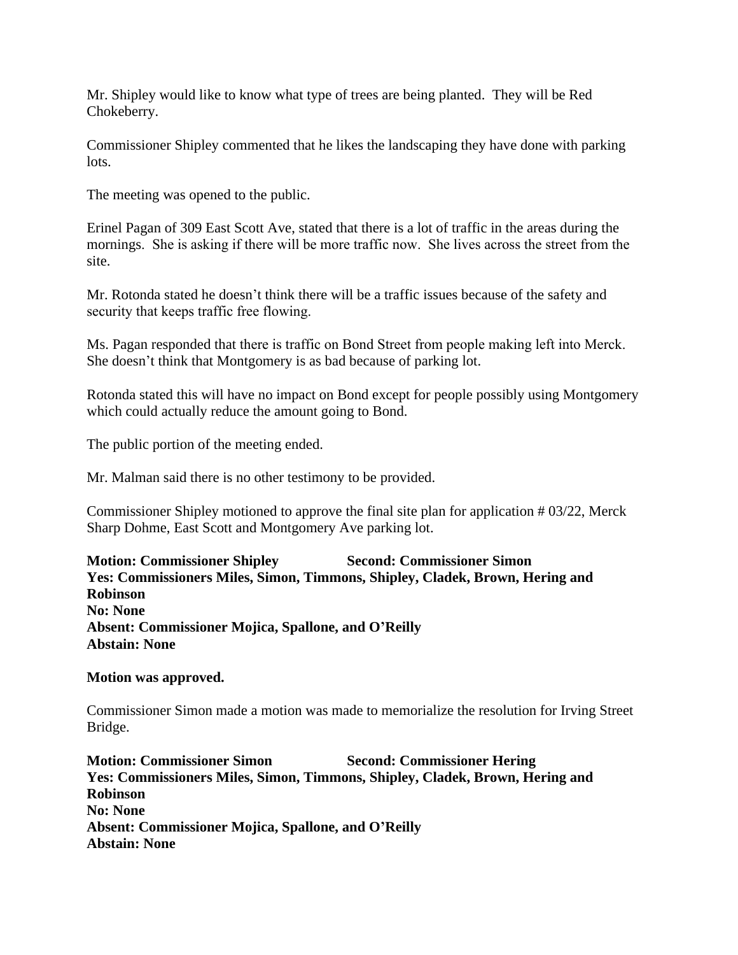Mr. Shipley would like to know what type of trees are being planted. They will be Red Chokeberry.

Commissioner Shipley commented that he likes the landscaping they have done with parking lots.

The meeting was opened to the public.

Erinel Pagan of 309 East Scott Ave, stated that there is a lot of traffic in the areas during the mornings. She is asking if there will be more traffic now. She lives across the street from the site.

Mr. Rotonda stated he doesn't think there will be a traffic issues because of the safety and security that keeps traffic free flowing.

Ms. Pagan responded that there is traffic on Bond Street from people making left into Merck. She doesn't think that Montgomery is as bad because of parking lot.

Rotonda stated this will have no impact on Bond except for people possibly using Montgomery which could actually reduce the amount going to Bond.

The public portion of the meeting ended.

Mr. Malman said there is no other testimony to be provided.

Commissioner Shipley motioned to approve the final site plan for application # 03/22, Merck Sharp Dohme, East Scott and Montgomery Ave parking lot.

**Motion: Commissioner Shipley Second: Commissioner Simon Yes: Commissioners Miles, Simon, Timmons, Shipley, Cladek, Brown, Hering and Robinson No: None Absent: Commissioner Mojica, Spallone, and O'Reilly Abstain: None**

#### **Motion was approved.**

Commissioner Simon made a motion was made to memorialize the resolution for Irving Street Bridge.

**Motion: Commissioner Simon Second: Commissioner Hering Yes: Commissioners Miles, Simon, Timmons, Shipley, Cladek, Brown, Hering and Robinson No: None Absent: Commissioner Mojica, Spallone, and O'Reilly Abstain: None**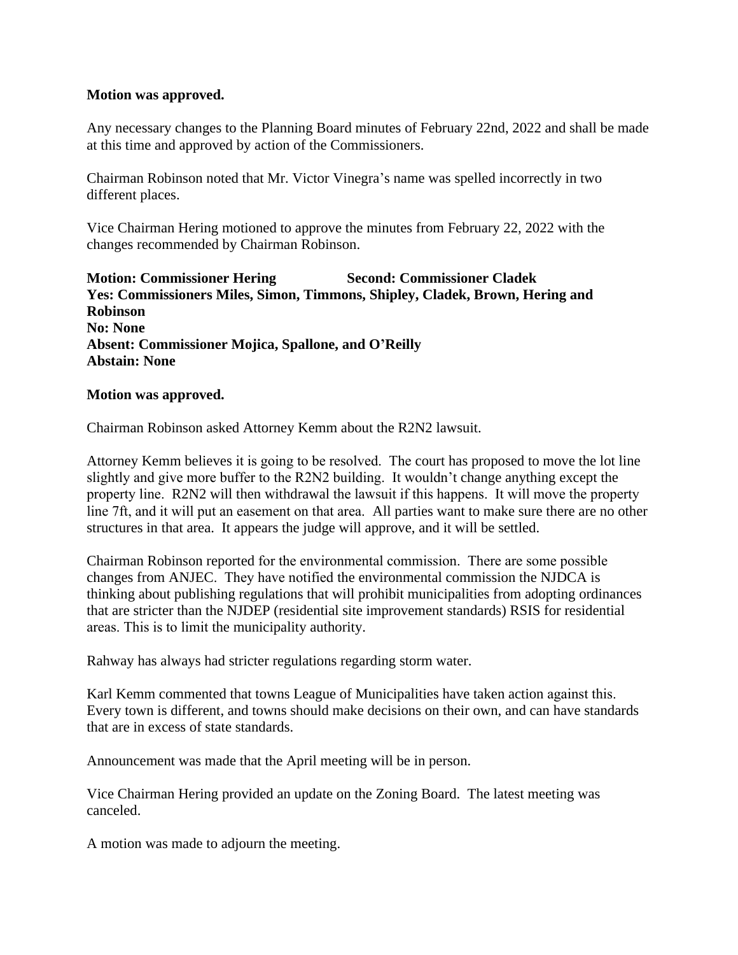#### **Motion was approved.**

Any necessary changes to the Planning Board minutes of February 22nd, 2022 and shall be made at this time and approved by action of the Commissioners.

Chairman Robinson noted that Mr. Victor Vinegra's name was spelled incorrectly in two different places.

Vice Chairman Hering motioned to approve the minutes from February 22, 2022 with the changes recommended by Chairman Robinson.

**Motion: Commissioner Hering Second: Commissioner Cladek Yes: Commissioners Miles, Simon, Timmons, Shipley, Cladek, Brown, Hering and Robinson No: None Absent: Commissioner Mojica, Spallone, and O'Reilly Abstain: None**

#### **Motion was approved.**

Chairman Robinson asked Attorney Kemm about the R2N2 lawsuit.

Attorney Kemm believes it is going to be resolved. The court has proposed to move the lot line slightly and give more buffer to the R2N2 building. It wouldn't change anything except the property line. R2N2 will then withdrawal the lawsuit if this happens. It will move the property line 7ft, and it will put an easement on that area. All parties want to make sure there are no other structures in that area. It appears the judge will approve, and it will be settled.

Chairman Robinson reported for the environmental commission. There are some possible changes from ANJEC. They have notified the environmental commission the NJDCA is thinking about publishing regulations that will prohibit municipalities from adopting ordinances that are stricter than the NJDEP (residential site improvement standards) RSIS for residential areas. This is to limit the municipality authority.

Rahway has always had stricter regulations regarding storm water.

Karl Kemm commented that towns League of Municipalities have taken action against this. Every town is different, and towns should make decisions on their own, and can have standards that are in excess of state standards.

Announcement was made that the April meeting will be in person.

Vice Chairman Hering provided an update on the Zoning Board. The latest meeting was canceled.

A motion was made to adjourn the meeting.